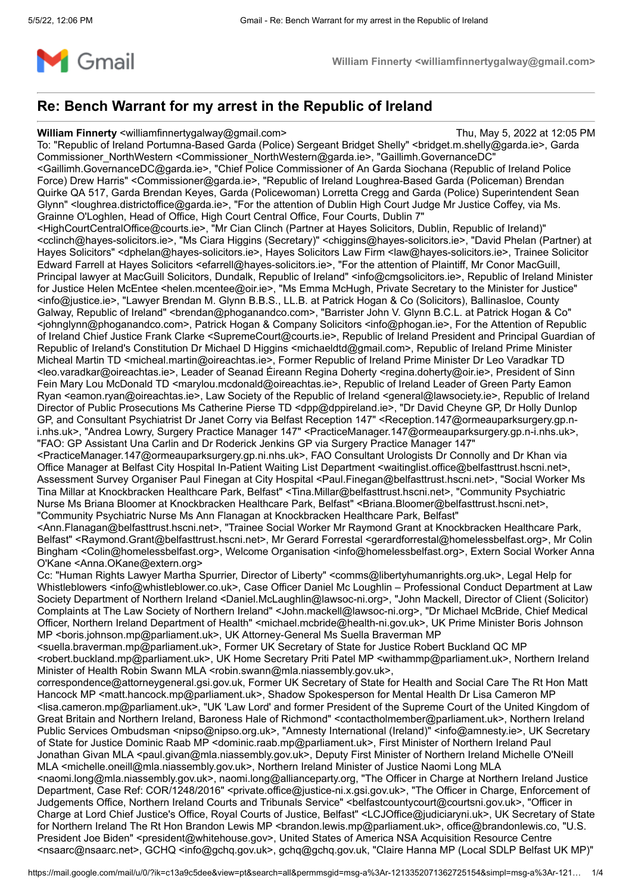

# **Re: Bench Warrant for my arrest in the Republic of Ireland**

## **William Finnerty** <williamfinnertygalway@gmail.com> Thu, May 5, 2022 at 12:05 PM

To: "Republic of Ireland Portumna-Based Garda (Police) Sergeant Bridget Shelly" <br/>bridget.m.shelly@garda.ie>, Garda Commissioner\_NorthWestern <Commissioner\_NorthWestern@garda.ie>, "Gaillimh.GovernanceDC" <Gaillimh.GovernanceDC@garda.ie>, "Chief Police Commissioner of An Garda Siochana (Republic of Ireland Police Force) Drew Harris" <Commissioner@garda.ie>, "Republic of Ireland Loughrea-Based Garda (Policeman) Brendan Quirke QA 517, Garda Brendan Keyes, Garda (Policewoman) Lorretta Cregg and Garda (Police) Superintendent Sean Glynn" <loughrea.districtoffice@garda.ie>, "For the attention of Dublin High Court Judge Mr Justice Coffey, via Ms. Grainne O'Loghlen, Head of Office, High Court Central Office, Four Courts, Dublin 7" <HighCourtCentralOffice@courts.ie>, "Mr Cian Clinch (Partner at Hayes Solicitors, Dublin, Republic of Ireland)" <cclinch@hayes-solicitors.ie>, "Ms Ciara Higgins (Secretary)" <chiggins@hayes-solicitors.ie>, "David Phelan (Partner) at Hayes Solicitors" <dphelan@hayes-solicitors.ie>, Hayes Solicitors Law Firm <law@hayes-solicitors.ie>, Trainee Solicitor Edward Farrell at Hayes Solicitors <efarrell@hayes-solicitors.ie>, "For the attention of Plaintiff, Mr Conor MacGuill, Principal lawyer at MacGuill Solicitors, Dundalk, Republic of Ireland" <info@cmgsolicitors.ie>, Republic of Ireland Minister for Justice Helen McEntee <helen.mcentee@oir.ie>, "Ms Emma McHugh, Private Secretary to the Minister for Justice" <info@justice.ie>, "Lawyer Brendan M. Glynn B.B.S., LL.B. at Patrick Hogan & Co (Solicitors), Ballinasloe, County Galway, Republic of Ireland" <brendan@phoganandco.com>, "Barrister John V. Glynn B.C.L. at Patrick Hogan & Co" <johnglynn@phoganandco.com>, Patrick Hogan & Company Solicitors <info@phogan.ie>, For the Attention of Republic of Ireland Chief Justice Frank Clarke <SupremeCourt@courts.ie>, Republic of Ireland President and Principal Guardian of Republic of Ireland's Constitution Dr Michael D Higgins <michaeldtd@gmail.com>, Republic of Ireland Prime Minister Micheal Martin TD <micheal.martin@oireachtas.ie>, Former Republic of Ireland Prime Minister Dr Leo Varadkar TD <leo.varadkar@oireachtas.ie>, Leader of Seanad Éireann Regina Doherty <regina.doherty@oir.ie>, President of Sinn Fein Mary Lou McDonald TD <marylou.mcdonald@oireachtas.ie>, Republic of Ireland Leader of Green Party Eamon Ryan <eamon.ryan@oireachtas.ie>, Law Society of the Republic of Ireland <general@lawsociety.ie>, Republic of Ireland Director of Public Prosecutions Ms Catherine Pierse TD <dpp@dppireland.ie>, "Dr David Cheyne GP, Dr Holly Dunlop GP, and Consultant Psychiatrist Dr Janet Corry via Belfast Reception 147" <Reception.147@ormeauparksurgery.gp.ni.nhs.uk>, "Andrea Lowry, Surgery Practice Manager 147" <PracticeManager.147@ormeauparksurgery.gp.n-i.nhs.uk>, "FAO: GP Assistant Una Carlin and Dr Roderick Jenkins GP via Surgery Practice Manager 147" <PracticeManager.147@ormeauparksurgery.gp.ni.nhs.uk>, FAO Consultant Urologists Dr Connolly and Dr Khan via

Office Manager at Belfast City Hospital In-Patient Waiting List Department <waitinglist.office@belfasttrust.hscni.net>, Assessment Survey Organiser Paul Finegan at City Hospital <Paul.Finegan@belfasttrust.hscni.net>, "Social Worker Ms Tina Millar at Knockbracken Healthcare Park, Belfast" <Tina.Millar@belfasttrust.hscni.net>, "Community Psychiatric Nurse Ms Briana Bloomer at Knockbracken Healthcare Park, Belfast" <Briana.Bloomer@belfasttrust.hscni.net>, "Community Psychiatric Nurse Ms Ann Flanagan at Knockbracken Healthcare Park, Belfast"

<Ann.Flanagan@belfasttrust.hscni.net>, "Trainee Social Worker Mr Raymond Grant at Knockbracken Healthcare Park, Belfast" <Raymond.Grant@belfasttrust.hscni.net>, Mr Gerard Forrestal <gerardforrestal@homelessbelfast.org>, Mr Colin Bingham <Colin@homelessbelfast.org>, Welcome Organisation <info@homelessbelfast.org>, Extern Social Worker Anna O'Kane <Anna.OKane@extern.org>

Cc: "Human Rights Lawyer Martha Spurrier, Director of Liberty" <comms@libertyhumanrights.org.uk>, Legal Help for Whistleblowers <info@whistleblower.co.uk>, Case Officer Daniel Mc Loughlin – Professional Conduct Department at Law Society Department of Northern Ireland <Daniel.McLaughlin@lawsoc-ni.org>, "John Mackell, Director of Client (Solicitor) Complaints at The Law Society of Northern Ireland" <John.mackell@lawsoc-ni.org>, "Dr Michael McBride, Chief Medical Officer, Northern Ireland Department of Health" <michael.mcbride@health-ni.gov.uk>, UK Prime Minister Boris Johnson MP <boris.johnson.mp@parliament.uk>, UK Attorney-General Ms Suella Braverman MP

<suella.braverman.mp@parliament.uk>, Former UK Secretary of State for Justice Robert Buckland QC MP <robert.buckland.mp@parliament.uk>, UK Home Secretary Priti Patel MP <withammp@parliament.uk>, Northern Ireland Minister of Health Robin Swann MLA <robin.swann@mla.niassembly.gov.uk>.

correspondence@attorneygeneral.gsi.gov.uk, Former UK Secretary of State for Health and Social Care The Rt Hon Matt Hancock MP <matt.hancock.mp@parliament.uk>, Shadow Spokesperson for Mental Health Dr Lisa Cameron MP <lisa.cameron.mp@parliament.uk>, "UK 'Law Lord' and former President of the Supreme Court of the United Kingdom of Great Britain and Northern Ireland, Baroness Hale of Richmond" <contactholmember@parliament.uk>, Northern Ireland Public Services Ombudsman <nipso@nipso.org.uk>, "Amnesty International (Ireland)" <info@amnesty.ie>, UK Secretary of State for Justice Dominic Raab MP <dominic.raab.mp@parliament.uk>, First Minister of Northern Ireland Paul Jonathan Givan MLA <paul.givan@mla.niassembly.gov.uk>, Deputy First Minister of Northern Ireland Michelle O'Neill MLA <michelle.oneill@mla.niassembly.gov.uk>, Northern Ireland Minister of Justice Naomi Long MLA <naomi.long@mla.niassembly.gov.uk>, naomi.long@allianceparty.org, "The Officer in Charge at Northern Ireland Justice Department, Case Ref: COR/1248/2016" <private.office@justice-ni.x.gsi.gov.uk>, "The Officer in Charge, Enforcement of Judgements Office, Northern Ireland Courts and Tribunals Service" <belfastcountycourt@courtsni.gov.uk>, "Officer in Charge at Lord Chief Justice's Office, Royal Courts of Justice, Belfast" <LCJOffice@judiciaryni.uk>, UK Secretary of State for Northern Ireland The Rt Hon Brandon Lewis MP <br/>brandon.lewis.mp@parliament.uk>, office@brandonlewis.co, "U.S. President Joe Biden" <president@whitehouse.gov>, United States of America NSA Acquisition Resource Centre <nsaarc@nsaarc.net>, GCHQ <info@gchq.gov.uk>, gchq@gchq.gov.uk, "Claire Hanna MP (Local SDLP Belfast UK MP)"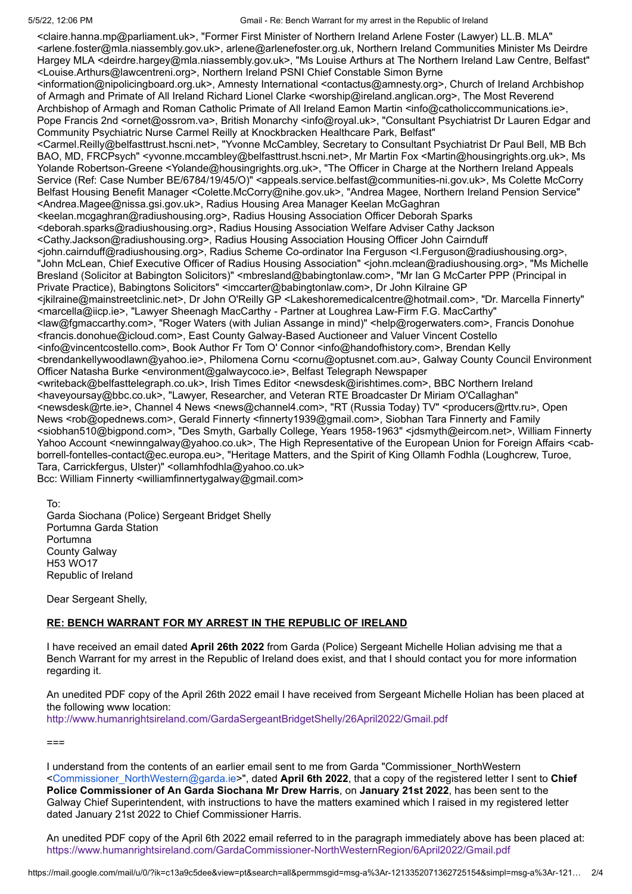5/5/22, 12:06 PM Gmail - Re: Bench Warrant for my arrest in the Republic of Ireland

<claire.hanna.mp@parliament.uk>, "Former First Minister of Northern Ireland Arlene Foster (Lawyer) LL.B. MLA" <arlene.foster@mla.niassembly.gov.uk>, arlene@arlenefoster.org.uk, Northern Ireland Communities Minister Ms Deirdre Hargey MLA <deirdre.hargey@mla.niassembly.gov.uk>, "Ms Louise Arthurs at The Northern Ireland Law Centre, Belfast" <Louise.Arthurs@lawcentreni.org>, Northern Ireland PSNI Chief Constable Simon Byrne <information@nipolicingboard.org.uk>, Amnesty International <contactus@amnesty.org>, Church of Ireland Archbishop of Armagh and Primate of All Ireland Richard Lionel Clarke <worship@ireland.anglican.org>, The Most Reverend Archbishop of Armagh and Roman Catholic Primate of All Ireland Eamon Martin <info@catholiccommunications.ie>, Pope Francis 2nd <ornet@ossrom.va>, British Monarchy <info@royal.uk>, "Consultant Psychiatrist Dr Lauren Edgar and Community Psychiatric Nurse Carmel Reilly at Knockbracken Healthcare Park, Belfast" <Carmel.Reilly@belfasttrust.hscni.net>, "Yvonne McCambley, Secretary to Consultant Psychiatrist Dr Paul Bell, MB Bch BAO, MD, FRCPsych" <yvonne.mccambley@belfasttrust.hscni.net>, Mr Martin Fox <Martin@housingrights.org.uk>, Ms Yolande Robertson-Greene <Yolande@housingrights.org.uk>, "The Officer in Charge at the Northern Ireland Appeals Service (Ref: Case Number BE/6784/19/45/O)" <appeals.service.belfast@communities-ni.gov.uk>, Ms Colette McCorry Belfast Housing Benefit Manager <Colette.McCorry@nihe.gov.uk>, "Andrea Magee, Northern Ireland Pension Service" <Andrea.Magee@nissa.gsi.gov.uk>, Radius Housing Area Manager Keelan McGaghran <keelan.mcgaghran@radiushousing.org>, Radius Housing Association Officer Deborah Sparks <deborah.sparks@radiushousing.org>, Radius Housing Association Welfare Adviser Cathy Jackson <Cathy.Jackson@radiushousing.org>, Radius Housing Association Housing Officer John Cairnduff <john.cairnduff@radiushousing.org>, Radius Scheme Co-ordinator Ina Ferguson <I.Ferguson@radiushousing.org>, "John McLean, Chief Executive Officer of Radius Housing Association" <john.mclean@radiushousing.org>, "Ms Michelle Bresland (Solicitor at Babington Solicitors)" <mbresland@babingtonlaw.com>, "Mr Ian G McCarter PPP (Principal in Private Practice), Babingtons Solicitors" <imccarter@babingtonlaw.com>, Dr John Kilraine GP <jkilraine@mainstreetclinic.net>, Dr John O'Reilly GP <Lakeshoremedicalcentre@hotmail.com>, "Dr. Marcella Finnerty" <marcella@iicp.ie>, "Lawyer Sheenagh MacCarthy - Partner at Loughrea Law-Firm F.G. MacCarthy" <law@fgmaccarthy.com>, "Roger Waters (with Julian Assange in mind)" <help@rogerwaters.com>, Francis Donohue <francis.donohue@icloud.com>, East County Galway-Based Auctioneer and Valuer Vincent Costello <info@vincentcostello.com>, Book Author Fr Tom O' Connor <info@handofhistory.com>, Brendan Kelly <brendankellywoodlawn@yahoo.ie>, Philomena Cornu <cornu@optusnet.com.au>, Galway County Council Environment Officer Natasha Burke <environment@galwaycoco.ie>, Belfast Telegraph Newspaper <writeback@belfasttelegraph.co.uk>, Irish Times Editor <newsdesk@irishtimes.com>, BBC Northern Ireland <haveyoursay@bbc.co.uk>, "Lawyer, Researcher, and Veteran RTE Broadcaster Dr Miriam O'Callaghan" <newsdesk@rte.ie>, Channel 4 News <news@channel4.com>, "RT (Russia Today) TV" <producers@rttv.ru>, Open News <rob@opednews.com>, Gerald Finnerty <finnerty1939@gmail.com>, Siobhan Tara Finnerty and Family <siobhan510@bigpond.com>, "Des Smyth, Garbally College, Years 1958-1963" <jdsmyth@eircom.net>, William Finnerty Yahoo Account <newinngalway@yahoo.co.uk>, The High Representative of the European Union for Foreign Affairs <cabborrell-fontelles-contact@ec.europa.eu>, "Heritage Matters, and the Spirit of King Ollamh Fodhla (Loughcrew, Turoe, Tara, Carrickfergus, Ulster)" <ollamhfodhla@yahoo.co.uk> Bcc: William Finnerty <williamfinnertygalway@gmail.com>

To: Garda Siochana (Police) Sergeant Bridget Shelly Portumna Garda Station Portumna County Galway H53 WO17 Republic of Ireland

Dear Sergeant Shelly,

## **RE: BENCH WARRANT FOR MY ARREST IN THE REPUBLIC OF IRELAND**

I have received an email dated **April 26th 2022** from Garda (Police) Sergeant Michelle Holian advising me that a Bench Warrant for my arrest in the Republic of Ireland does exist, and that I should contact you for more information regarding it.

An unedited PDF copy of the April 26th 2022 email I have received from Sergeant Michelle Holian has been placed at the following www location:

<http://www.humanrightsireland.com/GardaSergeantBridgetShelly/26April2022/Gmail.pdf>

 $==$ 

I understand from the contents of an earlier email sent to me from Garda "Commissioner\_NorthWestern <[Commissioner\\_NorthWestern@garda.ie>](mailto:Commissioner_NorthWestern@garda.ie)", dated **April 6th 2022**, that a copy of the registered letter I sent to **Chief Police Commissioner of An Garda Siochana Mr Drew Harris**, on **January 21st 2022**, has been sent to the Galway Chief Superintendent, with instructions to have the matters examined which I raised in my registered letter dated January 21st 2022 to Chief Commissioner Harris.

An unedited PDF copy of the April 6th 2022 email referred to in the paragraph immediately above has been placed at: <https://www.humanrightsireland.com/GardaCommissioner-NorthWesternRegion/6April2022/Gmail.pdf>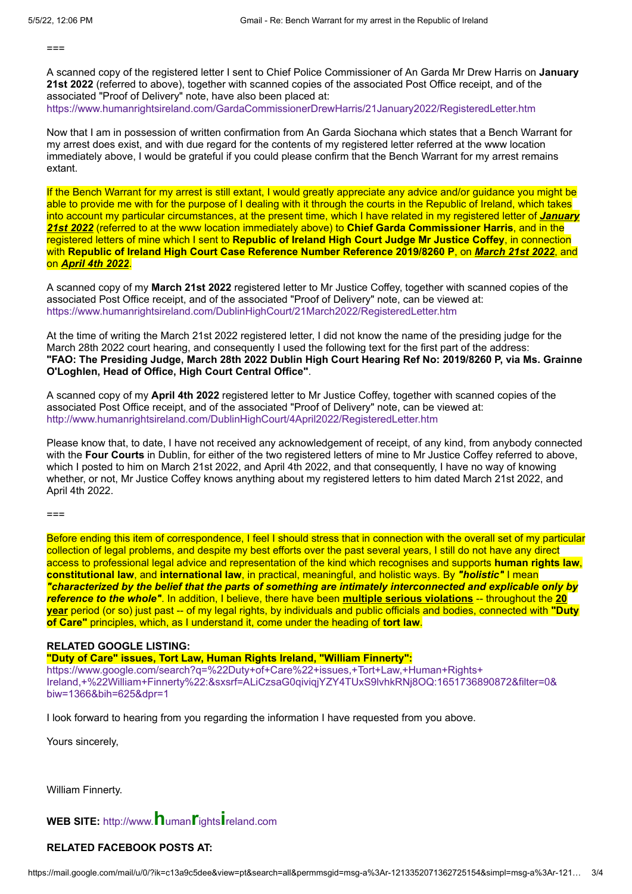$==$ 

A scanned copy of the registered letter I sent to Chief Police Commissioner of An Garda Mr Drew Harris on **January 21st 2022** (referred to above), together with scanned copies of the associated Post Office receipt, and of the associated "Proof of Delivery" note, have also been placed at:

<https://www.humanrightsireland.com/GardaCommissionerDrewHarris/21January2022/RegisteredLetter.htm>

Now that I am in possession of written confirmation from An Garda Siochana which states that a Bench Warrant for my arrest does exist, and with due regard for the contents of my registered letter referred at the www location immediately above, I would be grateful if you could please confirm that the Bench Warrant for my arrest remains extant.

If the Bench Warrant for my arrest is still extant, I would greatly appreciate any advice and/or guidance you might be able to provide me with for the purpose of I dealing with it through the courts in the Republic of Ireland, which takes into account my particular circumstances, at the present time, which I have related in my registered letter of *January 21st 2022* (referred to at the www location immediately above) to **Chief Garda Commissioner Harris**, and in the registered letters of mine which I sent to **Republic of Ireland High Court Judge Mr Justice Coffey**, in connection with **Republic of Ireland High Court Case Reference Number Reference 2019/8260 P**, on *March 21st 2022*, and on *April 4th 2022*.

A scanned copy of my **March 21st 2022** registered letter to Mr Justice Coffey, together with scanned copies of the associated Post Office receipt, and of the associated "Proof of Delivery" note, can be viewed at: <https://www.humanrightsireland.com/DublinHighCourt/21March2022/RegisteredLetter.htm>

At the time of writing the March 21st 2022 registered letter, I did not know the name of the presiding judge for the March 28th 2022 court hearing, and consequently I used the following text for the first part of the address: **"FAO: The Presiding Judge, March 28th 2022 Dublin High Court Hearing Ref No: 2019/8260 P, via Ms. Grainne O'Loghlen, Head of Office, High Court Central Office"**.

A scanned copy of my **April 4th 2022** registered letter to Mr Justice Coffey, together with scanned copies of the associated Post Office receipt, and of the associated "Proof of Delivery" note, can be viewed at: <http://www.humanrightsireland.com/DublinHighCourt/4April2022/RegisteredLetter.htm>

Please know that, to date, I have not received any acknowledgement of receipt, of any kind, from anybody connected with the **Four Courts** in Dublin, for either of the two registered letters of mine to Mr Justice Coffey referred to above, which I posted to him on March 21st 2022, and April 4th 2022, and that consequently, I have no way of knowing whether, or not, Mr Justice Coffey knows anything about my registered letters to him dated March 21st 2022, and April 4th 2022.

 $==$ 

Before ending this item of correspondence, I feel I should stress that in connection with the overall set of my particular collection of legal problems, and despite my best efforts over the past several years, I still do not have any direct access to professional legal advice and representation of the kind which recognises and supports **human rights law**, **constitutional law**, and **international law**, in practical, meaningful, and holistic ways. By *"holistic"* I mean *"characterized by the belief that the parts of something are intimately interconnected and explicable only by reference to the whole"*. In addition, I believe, there have been **multiple serious violations** -- throughout the **20 year** period (or so) just past -- of my legal rights, by individuals and public officials and bodies, connected with **"Duty of Care"** principles, which, as I understand it, come under the heading of **tort law**.

### **RELATED GOOGLE LISTING:**

**"Duty of Care" issues, Tort Law, Human Rights Ireland, "William Finnerty":**

https://www.google.com/search?q=%22Duty+of+Care%22+issues,+Tort+Law,+Human+Rights+ [Ireland,+%22William+Finnerty%22:&sxsrf=ALiCzsaG0qiviqjYZY4TUxS9lvhkRNj8OQ:1651736890872&filter=0&](https://www.google.com/search?q=%22Duty+of+Care%22+issues,+Tort+Law,+Human+Rights+Ireland,+%22William+Finnerty%22:&sxsrf=ALiCzsaG0qiviqjYZY4TUxS9lvhkRNj8OQ:1651736890872&filter=0&biw=1366&bih=625&dpr=1) biw=1366&bih=625&dpr=1

I look forward to hearing from you regarding the information I have requested from you above.

Yours sincerely,

William Finnerty.

## **WEB SITE:** http://www.**h**uman**r**ights**i**[reland.com](http://www.humanrightsireland.com/)

## **RELATED FACEBOOK POSTS AT:**